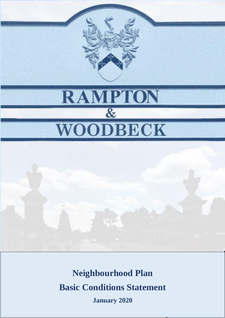

# 1 **January 2020Neighbourhood Plan Basic Conditions Statement**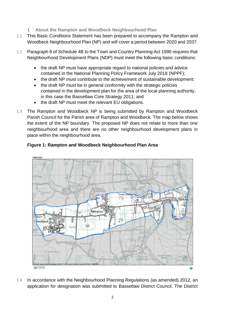- **1 About the Rampton and Woodbeck Neighbourhood Plan**
- 1.1 This Basic Conditions Statement has been prepared to accompany the Rampton and Woodbeck Neighbourhood Plan (NP) and will cover a period between 2020 and 2037.
- 1.2 Paragraph 8 of Schedule 4B to the Town and Country Planning Act 1990 requires that Neighbourhood Development Plans (NDP) must meet the following basic conditions:
	- the draft NP must have appropriate regard to national policies and advice contained in the National Planning Policy Framework July 2018 (NPPF);
	- the draft NP must contribute to the achievement of sustainable development;
	- the draft NP must be in general conformity with the strategic policies contained in the development plan for the area of the local planning authority, in this case the Bassetlaw Core Strategy 2011; and
	- the draft NP must meet the relevant EU obligations.
- 1.3 The Rampton and Woodbeck NP is being submitted by Rampton and Woodbeck Parish Council for the Parish area of Rampton and Woodbeck. The map below shows the extent of the NP boundary. The proposed NP does not relate to more than one neighbourhood area and there are no other neighbourhood development plans in place within the neighbourhood area.



# **Figure 1: Rampton and Woodbeck Neighbourhood Plan Area**

1.4 In accordance with the Neighbourhood Planning Regulations (as amended) 2012, an application for designation was submitted to Bassetlaw District Council. The District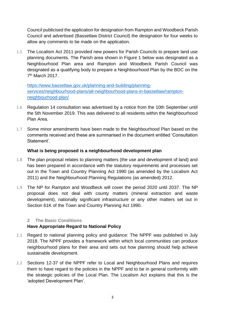Council publicised the application for designation from Rampton and Woodbeck Parish Council and advertised (Bassetlaw District Council) the designation for four weeks to allow any comments to be made on the application.

1.5 The Localism Act 2011 provided new powers for Parish Councils to prepare land use planning documents. The Parish area shown in Figure 1 below was designated as a Neighbourhood Plan area and Rampton and Woodbeck Parish Council was designated as a qualifying body to prepare a Neighbourhood Plan by the BDC on the 7<sup>th</sup> March 2017.

[https://www.bassetlaw.gov.uk/planning-and-building/planning](https://www.bassetlaw.gov.uk/planning-and-building/planning-services/neighbourhood-plans/all-neighbourhood-plans-in-bassetlaw/rampton-neighbourhood-plan/)[services/neighbourhood-plans/all-neighbourhood-plans-in-bassetlaw/rampton](https://www.bassetlaw.gov.uk/planning-and-building/planning-services/neighbourhood-plans/all-neighbourhood-plans-in-bassetlaw/rampton-neighbourhood-plan/)[neighbourhood-plan/](https://www.bassetlaw.gov.uk/planning-and-building/planning-services/neighbourhood-plans/all-neighbourhood-plans-in-bassetlaw/rampton-neighbourhood-plan/)

- 1.6 Regulation 14 consultation was advertised by a notice from the 10th September until the 5th November 2019. This was delivered to all residents within the Neighbourhood Plan Area.
- 1.7 Some minor amendments have been made to the Neighbourhood Plan based on the comments received and these are summarised in the document entitled 'Consultation Statement'.

# **What is being proposed is a neighbourhood development plan**

- 1.8 The plan proposal relates to planning matters (the use and development of land) and has been prepared in accordance with the statutory requirements and processes set out in the Town and Country Planning Act 1990 (as amended by the Localism Act 2011) and the Neighbourhood Planning Regulations (as amended) 2012.
- 1.9 The NP for Rampton and Woodbeck will cover the period 2020 until 2037. The NP proposal does not deal with county matters (mineral extraction and waste development), nationally significant infrastructure or any other matters set out in Section 61K of the Town and Country Planning Act 1990.

#### **2 The Basic Conditions**

# **Have Appropriate Regard to National Policy**

- 2.1 Regard to national planning policy and guidance: The NPPF was published in July 2018. The NPPF provides a framework within which local communities can produce neighbourhood plans for their area and sets out how planning should help achieve sustainable development.
- 2.2 Sections 12-37 of the NPPF refer to Local and Neighbourhood Plans and requires them to have regard to the policies in the NPPF and to be in general conformity with the strategic policies of the Local Plan. The Localism Act explains that this is the 'adopted Development Plan'.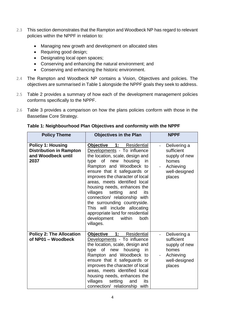- 2.3 This section demonstrates that the Rampton and Woodbeck NP has regard to relevant policies within the NPPF in relation to:
	- Managing new growth and development on allocated sites
	- Requiring good design;
	- Designating local open spaces;
	- Conserving and enhancing the natural environment; and
	- Conserving and enhancing the historic environment.
- 2.4 The Rampton and Woodbeck NP contains a Vision, Objectives and policies. The objectives are summarised in Table 1 alongside the NPPF goals they seek to address.
- 2.5 Table 2 provides a summary of how each of the development management policies conforms specifically to the NPPF.
- 2.6 Table 3 provides a comparison on how the plans policies conform with those in the Bassetlaw Core Strategy.

| <b>Policy Theme</b>                                                                      | <b>Objectives in the Plan</b>                                                                                                                                                                                                                                                                                                                                                                                                                                                                                          | <b>NPPF</b>                                                                                  |
|------------------------------------------------------------------------------------------|------------------------------------------------------------------------------------------------------------------------------------------------------------------------------------------------------------------------------------------------------------------------------------------------------------------------------------------------------------------------------------------------------------------------------------------------------------------------------------------------------------------------|----------------------------------------------------------------------------------------------|
| <b>Policy 1: Housing</b><br><b>Distribution in Rampton</b><br>and Woodbeck until<br>2037 | Objective 1: Residential<br>Developments - To influence<br>the location, scale, design and<br>of<br>new<br>housing<br>type<br>in<br>Rampton and Woodbeck to<br>ensure that it safeguards or<br>improves the character of local<br>areas, meets identified local<br>housing needs, enhances the<br>villages<br>setting<br>its<br>and<br>connection/ relationship with<br>the surrounding countryside.<br>This will include allocating<br>appropriate land for residential<br>development<br>within<br>both<br>villages. | Delivering a<br>sufficient<br>supply of new<br>homes<br>Achieving<br>well-designed<br>places |
| <b>Policy 2: The Allocation</b><br>of NP01 - Woodbeck                                    | Objective 1:<br>Residential<br>Developments - To influence<br>the location, scale, design and<br>of<br>new<br>housing<br>type<br>in<br>Rampton and Woodbeck to<br>ensure that it safeguards or<br>improves the character of local<br>areas, meets identified local<br>housing needs, enhances the<br>villages<br>setting<br>and<br>its<br>connection/ relationship with                                                                                                                                                | Delivering a<br>sufficient<br>supply of new<br>homes<br>Achieving<br>well-designed<br>places |

#### **Table 1: Neighbourhood Plan Objectives and conformity with the NPPF**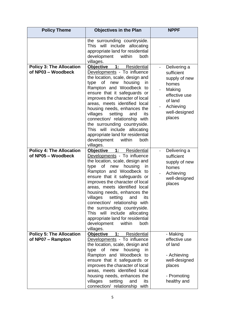| <b>Policy Theme</b>                                   | <b>Objectives in the Plan</b>                                                                                                                                                                                                                                                                                                                                                                                                                                                                                                    | <b>NPPF</b>                                                                                                                        |
|-------------------------------------------------------|----------------------------------------------------------------------------------------------------------------------------------------------------------------------------------------------------------------------------------------------------------------------------------------------------------------------------------------------------------------------------------------------------------------------------------------------------------------------------------------------------------------------------------|------------------------------------------------------------------------------------------------------------------------------------|
|                                                       | the surrounding countryside.<br>include allocating<br>This will<br>appropriate land for residential<br>development<br>within<br>both<br>villages.                                                                                                                                                                                                                                                                                                                                                                                |                                                                                                                                    |
| <b>Policy 3: The Allocation</b><br>of NP03 - Woodbeck | <b>Objective</b><br>1:<br>Residential<br>Developments - To influence<br>the location, scale, design and<br>of new<br>housing<br>type<br>in<br>Rampton and Woodbeck to<br>ensure that it safeguards or<br>improves the character of local<br>areas, meets identified local<br>housing needs, enhances the<br>villages<br>setting<br>and<br>its<br>connection/ relationship with<br>the surrounding countryside.<br>This will include allocating<br>appropriate land for residential<br>within<br>development<br>both<br>villages. | Delivering a<br>sufficient<br>supply of new<br>homes<br>Making<br>effective use<br>of land<br>Achieving<br>well-designed<br>places |
| <b>Policy 4: The Allocation</b><br>of NP05 - Woodbeck | Objective 1:<br>Residential<br>Developments - To influence<br>the location, scale, design and<br>type<br>of<br>new<br>housing<br>in<br>Rampton and Woodbeck to<br>ensure that it safeguards or<br>improves the character of local<br>areas, meets identified local<br>housing needs, enhances the<br>villages<br>setting<br>and<br>its<br>connection/ relationship with<br>the surrounding countryside.<br>include allocating<br>This will<br>appropriate land for residential<br>development<br>within<br>both<br>villages.     | Delivering a<br>sufficient<br>supply of new<br>homes<br>Achieving<br>well-designed<br>places                                       |
| <b>Policy 5: The Allocation</b><br>of NP07 - Rampton  | <b>Objective</b><br>1:<br>Residential<br>Developments - To influence<br>the location, scale, design and<br>type<br>of<br>new<br>housing<br>in.<br>Rampton and Woodbeck to<br>ensure that it safeguards or<br>improves the character of local<br>areas, meets identified local<br>housing needs, enhances the<br>villages<br>setting<br>and<br>its<br>connection/ relationship with                                                                                                                                               | - Making<br>effective use<br>of land<br>- Achieving<br>well-designed<br>places<br>- Promoting<br>healthy and                       |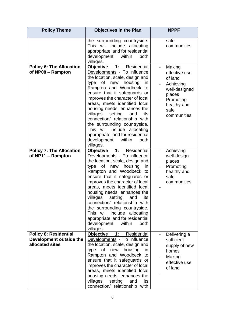| <b>Policy Theme</b>                                                        | <b>Objectives in the Plan</b>                                                                                                                                                                                                                                                                                                                                                                                                                                                                                                            | <b>NPPF</b>                                                                                                                   |
|----------------------------------------------------------------------------|------------------------------------------------------------------------------------------------------------------------------------------------------------------------------------------------------------------------------------------------------------------------------------------------------------------------------------------------------------------------------------------------------------------------------------------------------------------------------------------------------------------------------------------|-------------------------------------------------------------------------------------------------------------------------------|
|                                                                            | the surrounding countryside.<br>This will include<br>allocating<br>appropriate land for residential<br>within<br>development<br>both<br>villages.                                                                                                                                                                                                                                                                                                                                                                                        | safe<br>communities                                                                                                           |
| <b>Policy 6: The Allocation</b><br>of NP08 - Rampton                       | <b>Objective</b><br>1:<br><b>Residential</b><br>Developments - To influence<br>the location, scale, design and<br>of<br>new housing<br>type<br>in<br>Rampton and Woodbeck to<br>ensure that it safeguards or<br>improves the character of local<br>areas, meets identified local<br>housing needs, enhances the<br>villages<br>setting<br>its<br>and<br>connection/ relationship with<br>the surrounding countryside.<br>This will include allocating<br>appropriate land for residential<br>within<br>development<br>both<br>villages.  | Making<br>effective use<br>of land<br>Achieving<br>well-designed<br>places<br>Promoting<br>healthy and<br>safe<br>communities |
| <b>Policy 7: The Allocation</b><br>of NP11 - Rampton                       | <b>Objective 1:</b><br>Residential<br>Developments - To influence<br>the location, scale, design and<br>type<br>of<br>housing<br>new<br>in.<br>Rampton and Woodbeck to<br>ensure that it safeguards or<br>improves the character of local<br>areas, meets identified local<br>housing needs, enhances the<br>villages<br>setting<br>and<br><b>Its</b><br>connection/ relationship with<br>the surrounding countryside.<br>This will include allocating<br>appropriate land for residential<br>development<br>within<br>both<br>villages. | Achieving<br>well-design<br>places<br>Promoting<br>healthy and<br>safe<br>communities                                         |
| <b>Policy 8: Residential</b><br>Development outside the<br>allocated sites | Objective<br>$\overline{1}$ :<br>Residential<br>Developments - To influence<br>the location, scale, design and<br>type<br>of<br>new<br>housing<br>in<br>Rampton and Woodbeck to<br>ensure that it safeguards or<br>improves the character of local<br>areas, meets identified local<br>housing needs, enhances the<br>villages<br>setting<br>and<br>its<br>connection/ relationship with                                                                                                                                                 | Delivering a<br>sufficient<br>supply of new<br>homes<br>Making<br>effective use<br>of land                                    |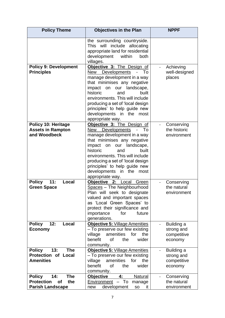| <b>Policy Theme</b>                                                                                    | <b>Objectives in the Plan</b>                                                                                                                                                                                                                                                                                                                                           | <b>NPPF</b>                                              |  |  |  |
|--------------------------------------------------------------------------------------------------------|-------------------------------------------------------------------------------------------------------------------------------------------------------------------------------------------------------------------------------------------------------------------------------------------------------------------------------------------------------------------------|----------------------------------------------------------|--|--|--|
|                                                                                                        | the surrounding countryside.<br>This will<br>include allocating<br>appropriate land for residential<br>development<br>within<br>both<br>villages.                                                                                                                                                                                                                       |                                                          |  |  |  |
| <b>Policy 9: Development</b><br><b>Principles</b>                                                      | Objective 3: The Design of<br>To<br>New<br>Developments<br>manage development in a way<br>that minimises any negative<br>our landscape,<br>impact<br>on<br>historic<br>built<br>and<br>environments. This will include<br>producing a set of 'local design<br>principles' to help guide new<br>developments in the<br>most<br>appropriate way.                          | Achieving<br>well-designed<br>places                     |  |  |  |
| <b>Policy 10: Heritage</b><br><b>Assets in Rampton</b><br>and Woodbeck                                 | Objective 3: The Design of<br><b>New Developments</b><br>To<br>$\overline{a}$<br>manage development in a way<br>that minimises any negative<br>impact<br>landscape,<br>our<br>on<br>historic<br>built<br>and<br>environments. This will include<br>producing a set of 'local design<br>principles' to help guide new<br>developments in the<br>most<br>appropriate way. | Conserving<br>the historic<br>environment                |  |  |  |
| <b>Policy</b><br>11:<br>Local<br><b>Green Space</b>                                                    | <b>Objective 2: Local Green</b><br>Spaces - The Neighbourhood<br>Plan will seek to designate<br>valued and important spaces<br>as 'Local Green Spaces' to<br>protect their significance and<br>importance<br>for<br>future<br>generations.                                                                                                                              | Conserving<br>the natural<br>environment                 |  |  |  |
| 12:<br><b>Policy</b><br>Local<br><b>Economy</b>                                                        | Objective 5: Village Amenities<br>- To preserve our few existing<br>amenities<br>for<br>village<br>the<br>benefit<br><b>of</b><br>the<br>wider<br>community.                                                                                                                                                                                                            | Building a<br>strong and<br>competitive<br>economy       |  |  |  |
| 13:<br><b>Policy</b><br><b>The</b><br><b>Protection of Local</b><br><b>Amenities</b>                   | Objective 5: Village Amenities<br>- To preserve our few existing<br>village<br>for<br>amenities<br>the<br>benefit<br>0f<br>the<br>wider<br>community.                                                                                                                                                                                                                   | Building a<br>÷.<br>strong and<br>competitive<br>economy |  |  |  |
| <b>Policy</b><br>14:<br><b>The</b><br><b>Protection</b><br>the<br><b>of</b><br><b>Parish Landscape</b> | <b>Objective</b><br>4:<br>Natural<br>Environment - To<br>manage<br>development<br>it<br>new<br>SO                                                                                                                                                                                                                                                                       | Conserving<br>the natural<br>environment                 |  |  |  |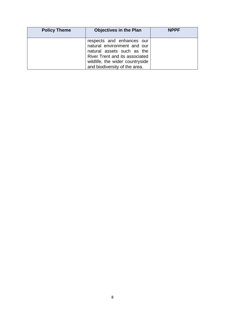| <b>Policy Theme</b> | <b>Objectives in the Plan</b>                                                                                                                                                                | <b>NPPF</b> |
|---------------------|----------------------------------------------------------------------------------------------------------------------------------------------------------------------------------------------|-------------|
|                     | respects and enhances our<br>natural environment and our<br>natural assets such as the<br>River Trent and its associated<br>wildlife, the wider countryside<br>and biodiversity of the area. |             |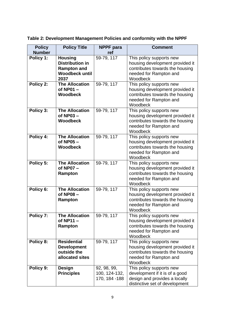**Table 2: Development Management Policies and conformity with the NPPF** 

| <b>Policy</b> | <b>Policy Title</b>                                                                             | <b>NPPF</b> para                               | <b>Comment</b>                                                                                                                       |
|---------------|-------------------------------------------------------------------------------------------------|------------------------------------------------|--------------------------------------------------------------------------------------------------------------------------------------|
| <b>Number</b> |                                                                                                 | ref                                            |                                                                                                                                      |
| Policy 1:     | <b>Housing</b><br><b>Distribution in</b><br><b>Rampton and</b><br><b>Woodbeck until</b><br>2037 | 59-79, 117                                     | This policy supports new<br>housing development provided it<br>contributes towards the housing<br>needed for Rampton and<br>Woodbeck |
| Policy 2:     | <b>The Allocation</b><br>of NP01 -<br><b>Woodbeck</b>                                           | 59-79, 117                                     | This policy supports new<br>housing development provided it<br>contributes towards the housing<br>needed for Rampton and<br>Woodbeck |
| Policy 3:     | <b>The Allocation</b><br>of NP03-<br><b>Woodbeck</b>                                            | 59-79, 117                                     | This policy supports new<br>housing development provided it<br>contributes towards the housing<br>needed for Rampton and<br>Woodbeck |
| Policy 4:     | <b>The Allocation</b><br>of $NP05 -$<br><b>Woodbeck</b>                                         | 59-79, 117                                     | This policy supports new<br>housing development provided it<br>contributes towards the housing<br>needed for Rampton and<br>Woodbeck |
| Policy 5:     | <b>The Allocation</b><br>of NP07 -<br>Rampton                                                   | 59-79, 117                                     | This policy supports new<br>housing development provided it<br>contributes towards the housing<br>needed for Rampton and<br>Woodbeck |
| Policy 6:     | <b>The Allocation</b><br>of NP08-<br>Rampton                                                    | 59-79, 117                                     | This policy supports new<br>housing development provided it<br>contributes towards the housing<br>needed for Rampton and<br>Woodbeck |
| Policy 7:     | <b>The Allocation</b><br>of NP11 -<br>Rampton                                                   | 59-79, 117                                     | This policy supports new<br>housing development provided it<br>contributes towards the housing<br>needed for Rampton and<br>Woodbeck |
| Policy 8:     | <b>Residential</b><br><b>Development</b><br>outside the<br>allocated sites                      | 59-79, 117                                     | This policy supports new<br>housing development provided it<br>contributes towards the housing<br>needed for Rampton and<br>Woodbeck |
| Policy 9:     | <b>Design</b><br><b>Principles</b>                                                              | 92, 98, 99,<br>100, 124-132,<br>170, 184 - 188 | This policy supports new<br>development if it is of a good<br>design and provides a locally<br>distinctive set of development        |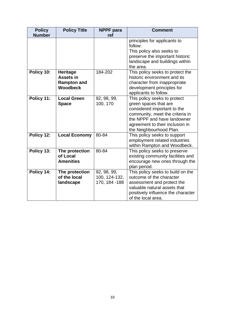| <b>Policy</b> | <b>Policy Title</b>                                                          | <b>NPPF</b> para                              | <b>Comment</b>                                                                                                                                                                                                       |
|---------------|------------------------------------------------------------------------------|-----------------------------------------------|----------------------------------------------------------------------------------------------------------------------------------------------------------------------------------------------------------------------|
| <b>Number</b> |                                                                              | ref                                           |                                                                                                                                                                                                                      |
|               |                                                                              |                                               | principles for applicants to<br>follow.<br>This policy also seeks to<br>preserve the important historic<br>landscape and buildings within<br>the area.                                                               |
| Policy 10:    | <b>Heritage</b><br><b>Assets in</b><br><b>Rampton and</b><br><b>Woodbeck</b> | 184-202                                       | This policy seeks to protect the<br>historic environment and its<br>character from inappropriate<br>development principles for<br>applicants to follow.                                                              |
| Policy 11:    | <b>Local Green</b><br><b>Space</b>                                           | 92, 98, 99,<br>100, 170                       | This policy seeks to protect<br>green spaces that are<br>considered important to the<br>community, meet the criteria in<br>the NPPF and have landowner<br>agreement to their inclusion in<br>the Neighbourhood Plan. |
| Policy 12:    | <b>Local Economy</b>                                                         | 80-84                                         | This policy seeks to support<br>employment related industries<br>within Rampton and Woodbeck.                                                                                                                        |
| Policy 13:    | The protection<br>of Local<br><b>Amenities</b>                               | 80-84                                         | This policy seeks to preserve<br>existing community facilities and<br>encourage new ones through the<br>plan period.                                                                                                 |
| Policy 14:    | The protection<br>of the local<br>landscape                                  | 92, 98, 99,<br>100, 124-132,<br>170, 184 -188 | This policy seeks to build on the<br>outcome of the character<br>assessment and protect the<br>valuable natural assets that<br>positively influence the character<br>of the local area.                              |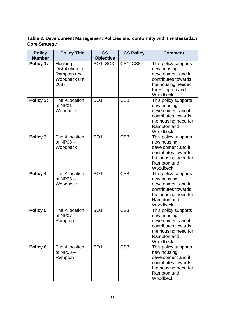**Table 3: Development Management Policies and conformity with the Bassetlaw Core Strategy**

| <b>Policy</b>              | <b>Policy Title</b>                                                 | $\mathsf{CS}\phantom{0}$     | <b>CS Policy</b> | <b>Comment</b>                                                                                                                         |
|----------------------------|---------------------------------------------------------------------|------------------------------|------------------|----------------------------------------------------------------------------------------------------------------------------------------|
| <b>Number</b><br>Policy 1: | Housing<br>Distribution in<br>Rampton and<br>Woodbeck until<br>2037 | <b>Objective</b><br>SO1, SO3 | <b>CS1, CS8</b>  | This policy supports<br>new housing<br>development and it<br>contributes towards<br>the housing needed<br>for Rampton and<br>Woodbeck. |
| Policy 2:                  | The Allocation<br>of $NP01 -$<br>Woodbeck                           | SO <sub>1</sub>              | CS <sub>8</sub>  | This policy supports<br>new housing<br>development and it<br>contributes towards<br>the housing need for<br>Rampton and<br>Woodbeck.   |
| Policy 3                   | The Allocation<br>of $NP03 -$<br>Woodbeck                           | SO <sub>1</sub>              | CS <sub>8</sub>  | This policy supports<br>new housing<br>development and it<br>contributes towards<br>the housing need for<br>Rampton and<br>Woodbeck.   |
| Policy 4                   | The Allocation<br>of $NP05 -$<br>Woodbeck                           | SO <sub>1</sub>              | CS <sub>8</sub>  | This policy supports<br>new housing<br>development and it<br>contributes towards<br>the housing need for<br>Rampton and<br>Woodbeck.   |
| Policy 5                   | The Allocation<br>of $NP07 -$<br>Rampton                            | SO <sub>1</sub>              | CS <sub>8</sub>  | This policy supports<br>new housing<br>development and it<br>contributes towards<br>the housing need for<br>Rampton and<br>Woodbeck.   |
| Policy 6                   | The Allocation<br>of $NP08 -$<br>Rampton                            | SO <sub>1</sub>              | CS <sub>8</sub>  | This policy supports<br>new housing<br>development and it<br>contributes towards<br>the housing need for<br>Rampton and<br>Woodbeck.   |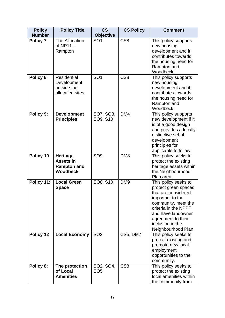| <b>Policy</b> | <b>Policy Title</b>                                                   | $\mathsf{CS}\phantom{0}$     | <b>CS Policy</b> | <b>Comment</b>                                                                                                                                                                                                                |  |  |  |  |  |
|---------------|-----------------------------------------------------------------------|------------------------------|------------------|-------------------------------------------------------------------------------------------------------------------------------------------------------------------------------------------------------------------------------|--|--|--|--|--|
| <b>Number</b> |                                                                       | <b>Objective</b>             |                  |                                                                                                                                                                                                                               |  |  |  |  |  |
| Policy 7      | The Allocation<br>of $NP11 -$<br>Rampton                              | SO <sub>1</sub>              | CS <sub>8</sub>  | This policy supports<br>new housing<br>development and it<br>contributes towards<br>the housing need for<br>Rampton and<br>Woodbeck.                                                                                          |  |  |  |  |  |
| Policy 8      | <b>Residential</b><br>Development<br>outside the<br>allocated sites   | SO <sub>1</sub>              | CS <sub>8</sub>  | This policy supports<br>new housing<br>development and it<br>contributes towards<br>the housing need for<br>Rampton and<br>Woodbeck.                                                                                          |  |  |  |  |  |
| Policy 9:     | <b>Development</b><br><b>Principles</b>                               | SO7, SO8,<br>SO9, S10        | DM4              | This policy supports<br>new development if it<br>is of a good design<br>and provides a locally<br>distinctive set of<br>development<br>principles for<br>applicants to follow.                                                |  |  |  |  |  |
| Policy 10     | <b>Heritage</b><br>Assets in<br><b>Rampton and</b><br><b>Woodbeck</b> | SO <sub>9</sub>              | DM <sub>8</sub>  | This policy seeks to<br>protect the existing<br>heritage assets within<br>the Neighbourhood<br>Plan area.                                                                                                                     |  |  |  |  |  |
| Policy 11:    | <b>Local Green</b><br><b>Space</b>                                    | SO8, S10                     | DM <sub>9</sub>  | This policy seeks to<br>protect green spaces<br>that are considered<br>important to the<br>community, meet the<br>criteria in the NPPF<br>and have landowner<br>agreement to their<br>inclusion in the<br>Neighbourhood Plan. |  |  |  |  |  |
| Policy 12     | <b>Local Economy</b>                                                  | SO <sub>2</sub>              | CS5, DM7         | This policy seeks to<br>protect existing and<br>promote new local<br>employment<br>opportunities to the<br>community.                                                                                                         |  |  |  |  |  |
| Policy 8:     | The protection<br>of Local<br><b>Amenities</b>                        | SO2, SO4,<br>SO <sub>5</sub> | CS <sub>8</sub>  | This policy seeks to<br>protect the existing<br>local amenities within<br>the community from                                                                                                                                  |  |  |  |  |  |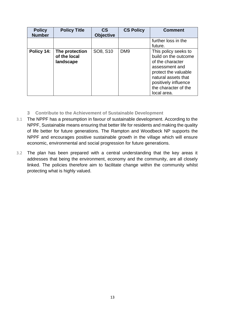| <b>Policy</b><br><b>Number</b> | <b>Policy Title</b>                         | $\mathsf{CS}\phantom{0}$<br><b>Objective</b> | <b>CS Policy</b> | <b>Comment</b>                                                                                                                                                                                   |
|--------------------------------|---------------------------------------------|----------------------------------------------|------------------|--------------------------------------------------------------------------------------------------------------------------------------------------------------------------------------------------|
|                                |                                             |                                              |                  | further loss in the<br>future.                                                                                                                                                                   |
| Policy 14:                     | The protection<br>of the local<br>landscape | SO8, S10                                     | DM <sub>9</sub>  | This policy seeks to<br>build on the outcome<br>of the character<br>assessment and<br>protect the valuable<br>natural assets that<br>positively influence<br>the character of the<br>local area. |

- **3 Contribute to the Achievement of Sustainable Development**
- 3.1 The NPPF has a presumption in favour of sustainable development. According to the NPPF, Sustainable means ensuring that better life for residents and making the quality of life better for future generations. The Rampton and Woodbeck NP supports the NPPF and encourages positive sustainable growth in the village which will ensure economic, environmental and social progression for future generations.
- 3.2 The plan has been prepared with a central understanding that the key areas it addresses that being the environment, economy and the community, are all closely linked. The policies therefore aim to facilitate change within the community whilst protecting what is highly valued.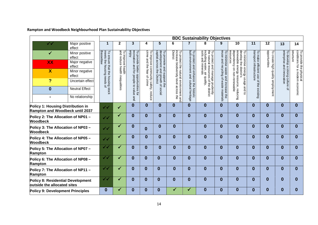|                                                                             |                          |                                            | <b>BDC Sustainability Objectives</b>                 |                                                     |                                                             |                                                                                               |                                                                                        |                                                                                 |                                                                                                                                 |                                           |                                                              |                                                                   |                                   |                                                          |                                                            |
|-----------------------------------------------------------------------------|--------------------------|--------------------------------------------|------------------------------------------------------|-----------------------------------------------------|-------------------------------------------------------------|-----------------------------------------------------------------------------------------------|----------------------------------------------------------------------------------------|---------------------------------------------------------------------------------|---------------------------------------------------------------------------------------------------------------------------------|-------------------------------------------|--------------------------------------------------------------|-------------------------------------------------------------------|-----------------------------------|----------------------------------------------------------|------------------------------------------------------------|
| $\checkmark$ $\checkmark$                                                   | Major positive<br>effect | 1                                          | 2                                                    | 3                                                   | 4                                                           | 5                                                                                             | 6                                                                                      | 7                                                                               | 8                                                                                                                               | 9                                         | 10                                                           | 11                                                                | $\overline{12}$                   | 13                                                       | 14                                                         |
| ✓                                                                           | Minor positive<br>effect | To ensure                                  |                                                      | enjoy<br>To provide                                 | crime                                                       |                                                                                               |                                                                                        |                                                                                 |                                                                                                                                 | To minimise                               | dependency<br>esources<br>eldswahle<br>O                     |                                                                   | opportunities                     |                                                          | structure                                                  |
| <b>XX</b>                                                                   | Major negative<br>effect | meets the housing<br>Bassetlaw             |                                                      | recreation and for                                  |                                                             |                                                                                               |                                                                                        |                                                                                 |                                                                                                                                 |                                           | develop the district's<br>minimise                           |                                                                   |                                   |                                                          |                                                            |
| $\boldsymbol{\mathsf{X}}$                                                   | Minor negative<br>effect | that the housing stock<br>housing needs of | To improve health<br>land reduce health inequalities | better opportunities for<br>and for people to value | To improve community safety,<br>crime and the fear of crime | development and growth of social<br>capital across the District<br>To promote and support the | To protect the natural environment<br>increase biodiversity level across t<br>District | To protect and enhance the historic<br> built environment and cultural heritage | To protect and manage prudently<br>the natural resources of the district<br>including water, air quality,<br>soils and minerals | reuse and recycling of waste<br>waste and | energy resource, reducing<br><b>u</b><br>energy usage and to | transport infrastructure<br>To make efficient use of the existing | To create high quality employment | enterprise and innovation<br>To develop a strong culture | conditions for a modem economic<br>To provide the physical |
| $\overline{?}$                                                              | Uncertain effect         |                                            |                                                      |                                                     |                                                             |                                                                                               |                                                                                        |                                                                                 |                                                                                                                                 |                                           | non-renewable                                                |                                                                   |                                   |                                                          |                                                            |
| $\bf{0}$                                                                    | <b>Neutral Effect</b>    |                                            |                                                      |                                                     |                                                             |                                                                                               |                                                                                        |                                                                                 |                                                                                                                                 | increase<br>materials                     |                                                              |                                                                   |                                   |                                                          |                                                            |
|                                                                             | No relationship          |                                            |                                                      | and                                                 | reduce                                                      |                                                                                               | ₿<br>and                                                                               |                                                                                 |                                                                                                                                 | ₿                                         |                                                              |                                                                   |                                   |                                                          |                                                            |
| <b>Policy 1: Housing Distribution in</b><br>Rampton and Woodbeck until 2037 |                          | $\checkmark$                               | $\checkmark$                                         | $\bf{0}$                                            | $\boldsymbol{0}$                                            | $\bf{0}$                                                                                      | $\bf{0}$                                                                               | $\bf{0}$                                                                        | $\mathbf{0}$                                                                                                                    | $\bf{0}$                                  | $\bf{0}$                                                     | $\bf{0}$                                                          | $\bf{0}$                          | $\bf{0}$                                                 | $\bf{0}$                                                   |
| Policy 2: The Allocation of NP01 -<br><b>Woodbeck</b>                       |                          | $\checkmark$                               | ✓                                                    | $\bf{0}$                                            | $\mathbf{0}$                                                | $\mathbf{0}$                                                                                  | $\bf{0}$                                                                               | $\bf{0}$                                                                        | $\bf{0}$                                                                                                                        | $\bf{0}$                                  | $\bf{0}$                                                     | $\bf{0}$                                                          | $\bf{0}$                          | $\bf{0}$                                                 | 0                                                          |
| Policy 3: The Allocation of NP03 -<br><b>Woodbeck</b>                       |                          | $\checkmark$                               | $\checkmark$                                         | $\bf{0}$                                            | $\bf{0}$                                                    | $\bf{0}$                                                                                      | $\bf{0}$                                                                               |                                                                                 | $\bf{0}$                                                                                                                        | $\bf{0}$                                  | $\bf{0}$                                                     | $\bf{0}$                                                          | $\bf{0}$                          | $\bf{0}$                                                 | 0                                                          |
| Policy 4: The Allocation of NP05 -<br><b>Woodbeck</b>                       |                          | $\checkmark$                               | $\checkmark$                                         | $\bf{0}$                                            | $\mathbf{0}$                                                | $\bf{0}$                                                                                      | $\bf{0}$                                                                               | $\bf{0}$                                                                        | $\bf{0}$                                                                                                                        | $\bf{0}$                                  | $\bf{0}$                                                     | $\bf{0}$                                                          | $\bf{0}$                          | $\bf{0}$                                                 | 0                                                          |
| Policy 5: The Allocation of NP07 -<br>Rampton                               |                          | $\checkmark$                               | ✔                                                    | $\bf{0}$                                            | $\bf{0}$                                                    | $\bf{0}$                                                                                      | $\bf{0}$                                                                               | $\bf{0}$                                                                        | $\mathbf{0}$                                                                                                                    | $\bf{0}$                                  | $\bf{0}$                                                     | $\bf{0}$                                                          | $\bf{0}$                          | $\bf{0}$                                                 | $\Omega$                                                   |
| Policy 6: The Allocation of NP08 -<br>Rampton                               |                          | ✔✔                                         | ✔                                                    | $\bf{0}$                                            | $\mathbf{0}$                                                | $\bf{0}$                                                                                      | $\bf{0}$                                                                               | $\bf{0}$                                                                        | $\bf{0}$                                                                                                                        | $\bf{0}$                                  | $\bf{0}$                                                     | $\bf{0}$                                                          | $\bf{0}$                          | $\bf{0}$                                                 | 0                                                          |
| Policy 7: The Allocation of NP11 -<br>Rampton                               |                          | $\checkmark$                               | $\checkmark$                                         | $\bf{0}$                                            | $\mathbf{0}$                                                | $\bf{0}$                                                                                      | $\mathbf{0}$                                                                           | $\bf{0}$                                                                        | $\bf{0}$                                                                                                                        | $\bf{0}$                                  | $\bf{0}$                                                     | $\bf{0}$                                                          | $\bf{0}$                          | $\bf{0}$                                                 | 0                                                          |
| <b>Policy 8: Residential Development</b><br>outside the allocated sites     |                          | $\checkmark$                               | $\checkmark$                                         | $\bf{0}$                                            | $\bf{0}$                                                    | $\bf{0}$                                                                                      | $\bf{0}$                                                                               | $\bf{0}$                                                                        | $\bf{0}$                                                                                                                        | $\bf{0}$                                  | $\bf{0}$                                                     | $\bf{0}$                                                          | $\bf{0}$                          | $\bf{0}$                                                 | 0                                                          |
| <b>Policy 9: Development Principles</b>                                     |                          | $\boldsymbol{0}$                           |                                                      | $\bf{0}$                                            | 0                                                           | $\bf{0}$                                                                                      | ✓                                                                                      | ✓                                                                               | $\bf{0}$                                                                                                                        | $\bf{0}$                                  | $\bf{0}$                                                     | $\bf{0}$                                                          | 0                                 | 0                                                        | U                                                          |

# **Rampton and Woodbeck Neighbourhood Plan Sustainability Objectives**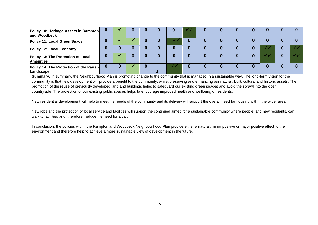| Policy 10: Heritage Assets in Rampton<br>and Woodbeck  |  |  |  |  |  |  |  |
|--------------------------------------------------------|--|--|--|--|--|--|--|
| Policy 11: Local Green Space                           |  |  |  |  |  |  |  |
| Policy 12: Local Economy                               |  |  |  |  |  |  |  |
| Policy 13: The Protection of Local<br><b>Amenities</b> |  |  |  |  |  |  |  |
| Policy 14: The Protection of the Parish<br>Landscape   |  |  |  |  |  |  |  |

**Summary:** In summary, the Neighbourhood Plan is promoting change to the community that is managed in a sustainable way. The long-term vision for the community is that new development will provide a benefit to the community, whilst preserving and enhancing our natural, built, cultural and historic assets. The promotion of the reuse of previously developed land and buildings helps to safeguard our existing green spaces and avoid the sprawl into the open countryside. The protection of our existing public spaces helps to encourage improved health and wellbeing of residents.

New residential development will help to meet the needs of the community and its delivery will support the overall need for housing within the wider area.

New jobs and the protection of local service and facilities will support the continued aimed for a sustainable community where people, and new residents, can walk to facilities and, therefore, reduce the need for a car.

In conclusion, the policies within the Rampton and Woodbeck Neighbourhood Plan provide either a natural, minor positive or major positive effect to the environment and therefore help to achieve a more sustainable view of development in the future.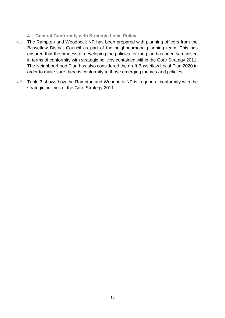### **4 General Conformity with Strategic Local Policy**

- 4.1 The Rampton and Woodbeck NP has been prepared with planning officers from the Bassetlaw District Council as part of the neighbourhood planning team. This has ensured that the process of developing the policies for the plan has been scrutinised in terms of conformity with strategic policies contained within the Core Strategy 2011. The Neighbourhood Plan has also considered the draft Bassetlaw Local Plan 2020 in order to make sure there is conformity to those emerging themes and policies.
- 4.2 Table 3 shows how the Rampton and Woodbeck NP is in general conformity with the strategic policies of the Core Strategy 2011.